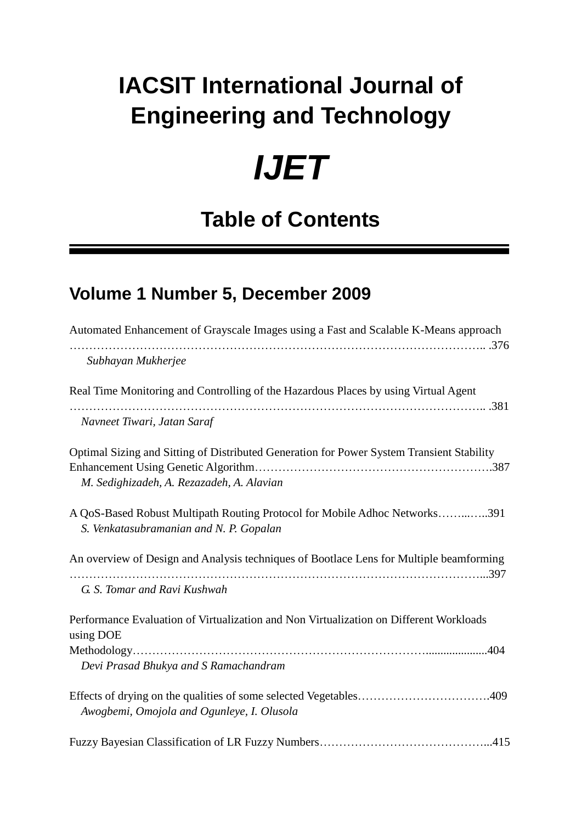## **IACSIT International Journal of Engineering and Technology**

## *IJET*

## **Table of Contents**

## **Volume 1 Number 5, December 2009**

| Automated Enhancement of Grayscale Images using a Fast and Scalable K-Means approach                                                   |
|----------------------------------------------------------------------------------------------------------------------------------------|
| Subhayan Mukherjee                                                                                                                     |
| Real Time Monitoring and Controlling of the Hazardous Places by using Virtual Agent                                                    |
| Navneet Tiwari, Jatan Saraf                                                                                                            |
| Optimal Sizing and Sitting of Distributed Generation for Power System Transient Stability<br>M. Sedighizadeh, A. Rezazadeh, A. Alavian |
| A QoS-Based Robust Multipath Routing Protocol for Mobile Adhoc Networks391<br>S. Venkatasubramanian and N. P. Gopalan                  |
| An overview of Design and Analysis techniques of Bootlace Lens for Multiple beamforming                                                |
| G. S. Tomar and Ravi Kushwah                                                                                                           |
| Performance Evaluation of Virtualization and Non Virtualization on Different Workloads<br>using DOE                                    |
| Devi Prasad Bhukya and S Ramachandram                                                                                                  |
| Awogbemi, Omojola and Ogunleye, I. Olusola                                                                                             |
|                                                                                                                                        |